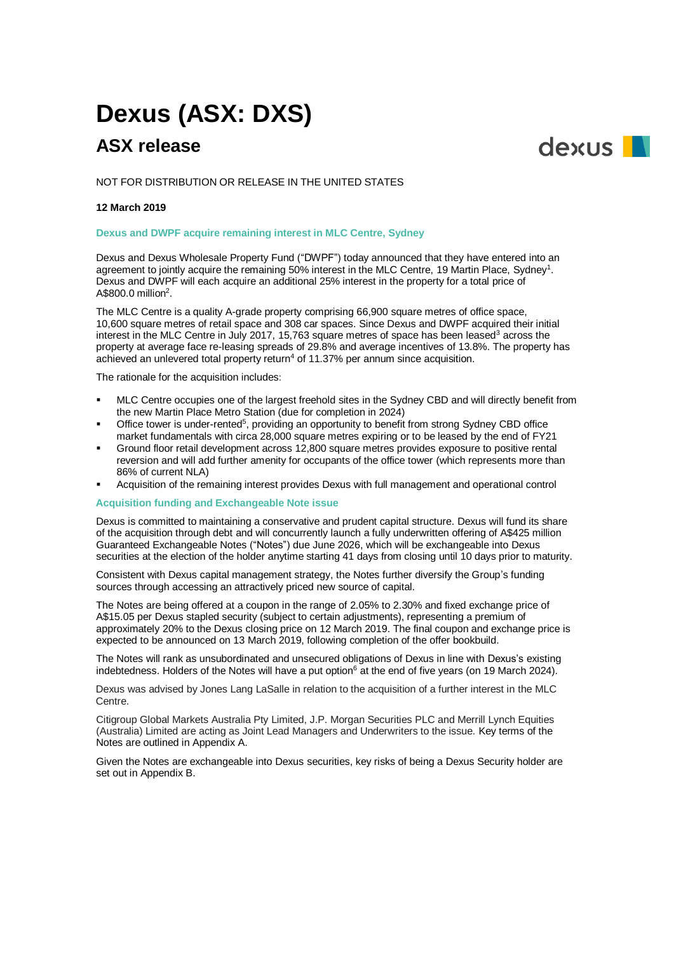# **Dexus (ASX: DXS)**

# **ASX release**

dexus **I** 

NOT FOR DISTRIBUTION OR RELEASE IN THE UNITED STATES

# **12 March 2019**

## **Dexus and DWPF acquire remaining interest in MLC Centre, Sydney**

Dexus and Dexus Wholesale Property Fund ("DWPF") today announced that they have entered into an agreement to jointly acquire the remaining 50% interest in the MLC Centre, 19 Martin Place, Sydney<sup>1</sup>. Dexus and DWPF will each acquire an additional 25% interest in the property for a total price of A\$800.0 million<sup>2</sup>.

The MLC Centre is a quality A-grade property comprising 66,900 square metres of office space, 10,600 square metres of retail space and 308 car spaces. Since Dexus and DWPF acquired their initial interest in the MLC Centre in July 2017, 15,763 square metres of space has been leased<sup>3</sup> across the property at average face re-leasing spreads of 29.8% and average incentives of 13.8%. The property has achieved an unlevered total property return<sup>4</sup> of  $11.37\%$  per annum since acquisition.

The rationale for the acquisition includes:

- MLC Centre occupies one of the largest freehold sites in the Sydney CBD and will directly benefit from the new Martin Place Metro Station (due for completion in 2024)
- **•** Office tower is under-rented<sup>5</sup>, providing an opportunity to benefit from strong Sydney CBD office market fundamentals with circa 28,000 square metres expiring or to be leased by the end of FY21
- Ground floor retail development across 12,800 square metres provides exposure to positive rental reversion and will add further amenity for occupants of the office tower (which represents more than 86% of current NLA)
- Acquisition of the remaining interest provides Dexus with full management and operational control

### **Acquisition funding and Exchangeable Note issue**

Dexus is committed to maintaining a conservative and prudent capital structure. Dexus will fund its share of the acquisition through debt and will concurrently launch a fully underwritten offering of A\$425 million Guaranteed Exchangeable Notes ("Notes") due June 2026, which will be exchangeable into Dexus securities at the election of the holder anytime starting 41 days from closing until 10 days prior to maturity.

Consistent with Dexus capital management strategy, the Notes further diversify the Group's funding sources through accessing an attractively priced new source of capital.

The Notes are being offered at a coupon in the range of 2.05% to 2.30% and fixed exchange price of A\$15.05 per Dexus stapled security (subject to certain adjustments), representing a premium of approximately 20% to the Dexus closing price on 12 March 2019. The final coupon and exchange price is expected to be announced on 13 March 2019, following completion of the offer bookbuild.

The Notes will rank as unsubordinated and unsecured obligations of Dexus in line with Dexus's existing indebtedness. Holders of the Notes will have a put option<sup>6</sup> at the end of five years (on 19 March 2024).

Dexus was advised by Jones Lang LaSalle in relation to the acquisition of a further interest in the MLC Centre.

Citigroup Global Markets Australia Pty Limited, J.P. Morgan Securities PLC and Merrill Lynch Equities (Australia) Limited are acting as Joint Lead Managers and Underwriters to the issue. Key terms of the Notes are outlined in Appendix A.

Given the Notes are exchangeable into Dexus securities, key risks of being a Dexus Security holder are set out in Appendix B.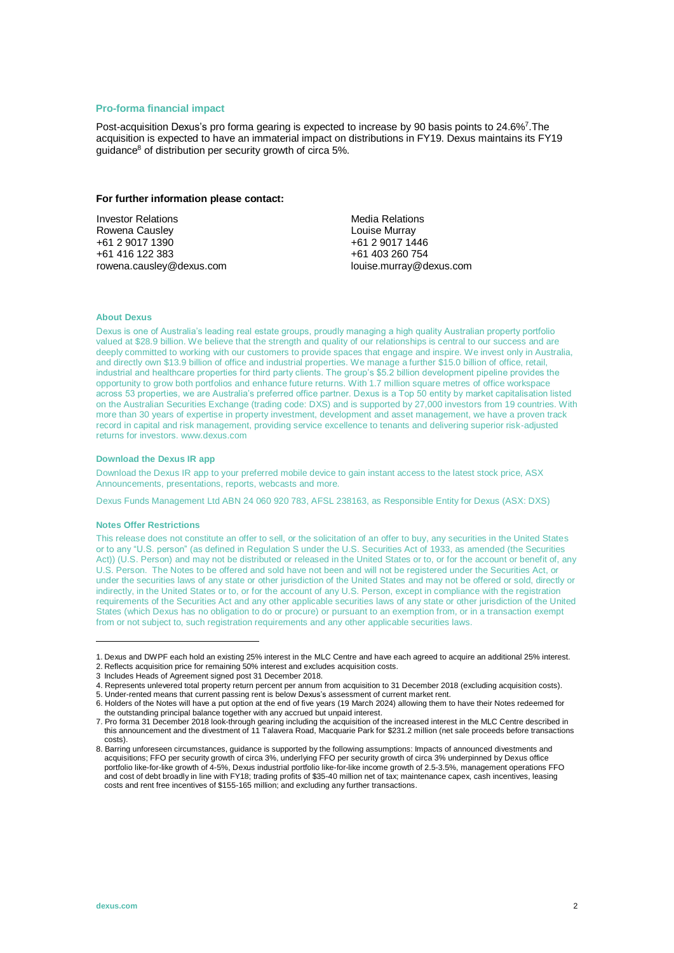## **Pro-forma financial impact**

Post-acquisition Dexus's pro forma gearing is expected to increase by 90 basis points to 24.6%<sup>7</sup>. The acquisition is expected to have an immaterial impact on distributions in FY19. Dexus maintains its FY19 guidance<sup>8</sup> of distribution per security growth of circa 5%.

#### **For further information please contact:**

Investor Relations Rowena Causley +61 2 9017 1390 +61 416 122 383 rowena.causley@dexus.com Media Relations Louise Murray +61 2 9017 1446 +61 403 260 754 louise.murray@dexus.com

### **About Dexus**

Dexus is one of Australia's leading real estate groups, proudly managing a high quality Australian property portfolio valued at \$28.9 billion. We believe that the strength and quality of our relationships is central to our success and are deeply committed to working with our customers to provide spaces that engage and inspire. We invest only in Australia, and directly own \$13.9 billion of office and industrial properties. We manage a further \$15.0 billion of office, retail, industrial and healthcare properties for third party clients. The group's \$5.2 billion development pipeline provides the opportunity to grow both portfolios and enhance future returns. With 1.7 million square metres of office workspace across 53 properties, we are Australia's preferred office partner. Dexus is a Top 50 entity by market capitalisation listed on the Australian Securities Exchange (trading code: DXS) and is supported by 27,000 investors from 19 countries. With more than 30 years of expertise in property investment, development and asset management, we have a proven track record in capital and risk management, providing service excellence to tenants and delivering superior risk-adjusted returns for investors. www.dexus.com

#### **Download the Dexus IR app**

Download the Dexus IR app to your preferred mobile device to gain instant access to the latest stock price, ASX Announcements, presentations, reports, webcasts and more.

Dexus Funds Management Ltd ABN 24 060 920 783, AFSL 238163, as Responsible Entity for Dexus (ASX: DXS)

#### **Notes Offer Restrictions**

This release does not constitute an offer to sell, or the solicitation of an offer to buy, any securities in the United States or to any "U.S. person" (as defined in Regulation S under the U.S. Securities Act of 1933, as amended (the Securities Act)) (U.S. Person) and may not be distributed or released in the United States or to, or for the account or benefit of, any U.S. Person. The Notes to be offered and sold have not been and will not be registered under the Securities Act, or under the securities laws of any state or other jurisdiction of the United States and may not be offered or sold, directly or indirectly, in the United States or to, or for the account of any U.S. Person, except in compliance with the registration requirements of the Securities Act and any other applicable securities laws of any state or other jurisdiction of the United States (which Dexus has no obligation to do or procure) or pursuant to an exemption from, or in a transaction exempt from or not subject to, such registration requirements and any other applicable securities laws.

 $\overline{a}$ 

<sup>1.</sup> Dexus and DWPF each hold an existing 25% interest in the MLC Centre and have each agreed to acquire an additional 25% interest.

<sup>2.</sup> Reflects acquisition price for remaining 50% interest and excludes acquisition costs.

<sup>3</sup> Includes Heads of Agreement signed post 31 December 2018.

<sup>4.</sup> Represents unlevered total property return percent per annum from acquisition to 31 December 2018 (excluding acquisition costs). 5. Under-rented means that current passing rent is below Dexus's assessment of current market rent.

<sup>6.</sup> Holders of the Notes will have a put option at the end of five years (19 March 2024) allowing them to have their Notes redeemed for the outstanding principal balance together with any accrued but unpaid interest.

<sup>7.</sup> Pro forma 31 December 2018 look-through gearing including the acquisition of the increased interest in the MLC Centre described in this announcement and the divestment of 11 Talavera Road, Macquarie Park for \$231.2 million (net sale proceeds before transactions costs).

<sup>8.</sup> Barring unforeseen circumstances, guidance is supported by the following assumptions: Impacts of announced divestments and acquisitions; FFO per security growth of circa 3%, underlying FFO per security growth of circa 3% underpinned by Dexus office portfolio like-for-like growth of 4-5%, Dexus industrial portfolio like-for-like income growth of 2.5-3.5%, management operations FFO and cost of debt broadly in line with FY18; trading profits of \$35-40 million net of tax; maintenance capex, cash incentives, leasing costs and rent free incentives of \$155-165 million; and excluding any further transactions.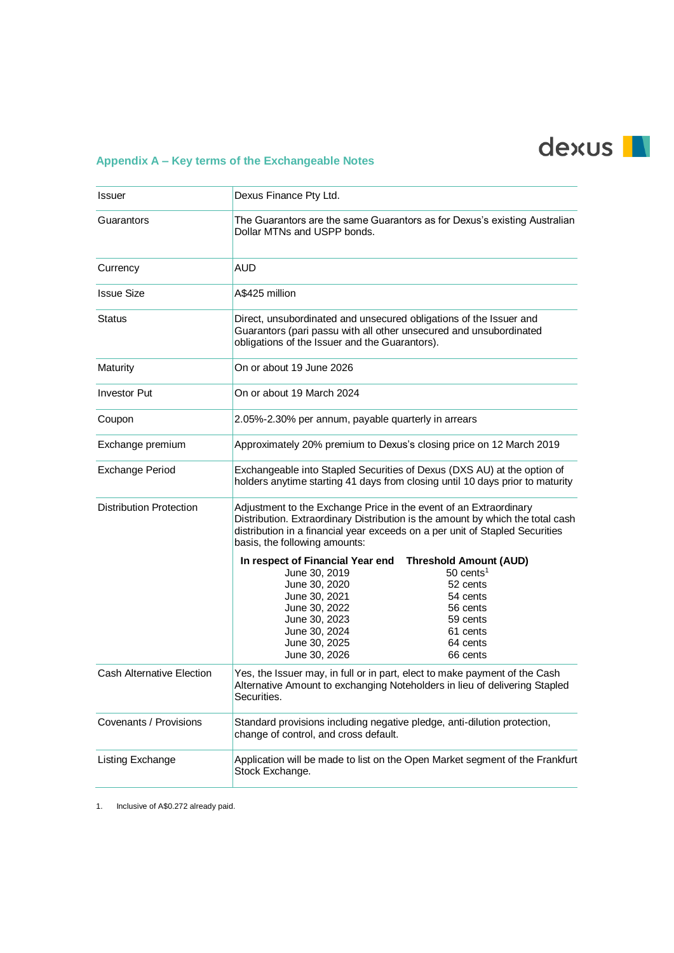# dexus |

# **Appendix A – Key terms of the Exchangeable Notes**

| <b>Issuer</b>                    | Dexus Finance Pty Ltd.                                                                                                                                                                                                                                                                                         |
|----------------------------------|----------------------------------------------------------------------------------------------------------------------------------------------------------------------------------------------------------------------------------------------------------------------------------------------------------------|
| Guarantors                       | The Guarantors are the same Guarantors as for Dexus's existing Australian<br>Dollar MTNs and USPP bonds.                                                                                                                                                                                                       |
| Currency                         | <b>AUD</b>                                                                                                                                                                                                                                                                                                     |
| <b>Issue Size</b>                | A\$425 million                                                                                                                                                                                                                                                                                                 |
| <b>Status</b>                    | Direct, unsubordinated and unsecured obligations of the Issuer and<br>Guarantors (pari passu with all other unsecured and unsubordinated<br>obligations of the Issuer and the Guarantors).                                                                                                                     |
| Maturity                         | On or about 19 June 2026                                                                                                                                                                                                                                                                                       |
| <b>Investor Put</b>              | On or about 19 March 2024                                                                                                                                                                                                                                                                                      |
| Coupon                           | 2.05%-2.30% per annum, payable quarterly in arrears                                                                                                                                                                                                                                                            |
| Exchange premium                 | Approximately 20% premium to Dexus's closing price on 12 March 2019                                                                                                                                                                                                                                            |
| Exchange Period                  | Exchangeable into Stapled Securities of Dexus (DXS AU) at the option of<br>holders anytime starting 41 days from closing until 10 days prior to maturity                                                                                                                                                       |
| <b>Distribution Protection</b>   | Adjustment to the Exchange Price in the event of an Extraordinary<br>Distribution. Extraordinary Distribution is the amount by which the total cash<br>distribution in a financial year exceeds on a per unit of Stapled Securities<br>basis, the following amounts:                                           |
|                                  | In respect of Financial Year end Threshold Amount (AUD)<br>$50$ cents <sup>1</sup><br>June 30, 2019<br>June 30, 2020<br>52 cents<br>June 30, 2021<br>54 cents<br>June 30, 2022<br>56 cents<br>June 30, 2023<br>59 cents<br>June 30, 2024<br>61 cents<br>June 30, 2025<br>64 cents<br>June 30, 2026<br>66 cents |
| <b>Cash Alternative Election</b> | Yes, the Issuer may, in full or in part, elect to make payment of the Cash<br>Alternative Amount to exchanging Noteholders in lieu of delivering Stapled<br>Securities.                                                                                                                                        |
| Covenants / Provisions           | Standard provisions including negative pledge, anti-dilution protection,<br>change of control, and cross default.                                                                                                                                                                                              |
| Listing Exchange                 | Application will be made to list on the Open Market segment of the Frankfurt<br>Stock Exchange.                                                                                                                                                                                                                |

1. Inclusive of A\$0.272 already paid.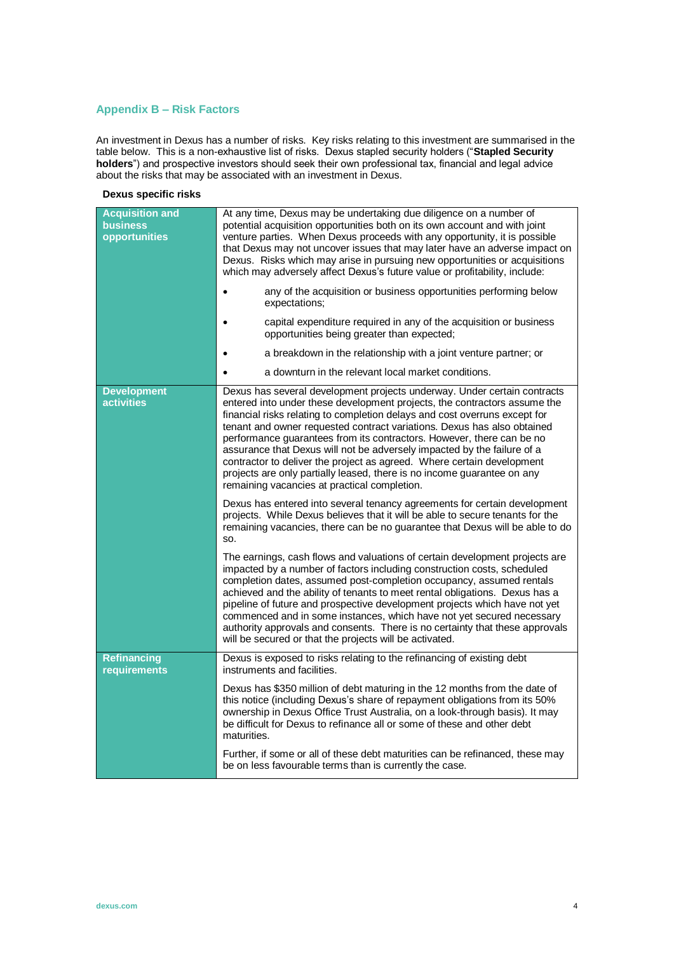# **Appendix B – Risk Factors**

An investment in Dexus has a number of risks. Key risks relating to this investment are summarised in the table below. This is a non-exhaustive list of risks. Dexus stapled security holders ("**Stapled Security holders**") and prospective investors should seek their own professional tax, financial and legal advice about the risks that may be associated with an investment in Dexus.

## **Dexus specific risks**

| <b>Acquisition and</b><br><b>business</b><br>opportunities | At any time, Dexus may be undertaking due diligence on a number of<br>potential acquisition opportunities both on its own account and with joint<br>venture parties. When Dexus proceeds with any opportunity, it is possible<br>that Dexus may not uncover issues that may later have an adverse impact on<br>Dexus. Risks which may arise in pursuing new opportunities or acquisitions<br>which may adversely affect Dexus's future value or profitability, include:<br>any of the acquisition or business opportunities performing below<br>expectations;<br>capital expenditure required in any of the acquisition or business<br>opportunities being greater than expected;<br>a breakdown in the relationship with a joint venture partner; or<br>a downturn in the relevant local market conditions. |
|------------------------------------------------------------|--------------------------------------------------------------------------------------------------------------------------------------------------------------------------------------------------------------------------------------------------------------------------------------------------------------------------------------------------------------------------------------------------------------------------------------------------------------------------------------------------------------------------------------------------------------------------------------------------------------------------------------------------------------------------------------------------------------------------------------------------------------------------------------------------------------|
| <b>Development</b>                                         | Dexus has several development projects underway. Under certain contracts                                                                                                                                                                                                                                                                                                                                                                                                                                                                                                                                                                                                                                                                                                                                     |
| <b>activities</b>                                          | entered into under these development projects, the contractors assume the<br>financial risks relating to completion delays and cost overruns except for<br>tenant and owner requested contract variations. Dexus has also obtained<br>performance guarantees from its contractors. However, there can be no<br>assurance that Dexus will not be adversely impacted by the failure of a<br>contractor to deliver the project as agreed. Where certain development<br>projects are only partially leased, there is no income guarantee on any<br>remaining vacancies at practical completion.                                                                                                                                                                                                                  |
|                                                            | Dexus has entered into several tenancy agreements for certain development<br>projects. While Dexus believes that it will be able to secure tenants for the<br>remaining vacancies, there can be no guarantee that Dexus will be able to do<br>SO.                                                                                                                                                                                                                                                                                                                                                                                                                                                                                                                                                            |
|                                                            | The earnings, cash flows and valuations of certain development projects are<br>impacted by a number of factors including construction costs, scheduled<br>completion dates, assumed post-completion occupancy, assumed rentals<br>achieved and the ability of tenants to meet rental obligations. Dexus has a<br>pipeline of future and prospective development projects which have not yet<br>commenced and in some instances, which have not yet secured necessary<br>authority approvals and consents. There is no certainty that these approvals<br>will be secured or that the projects will be activated.                                                                                                                                                                                              |
| <b>Refinancing</b><br>requirements                         | Dexus is exposed to risks relating to the refinancing of existing debt<br>instruments and facilities.                                                                                                                                                                                                                                                                                                                                                                                                                                                                                                                                                                                                                                                                                                        |
|                                                            | Dexus has \$350 million of debt maturing in the 12 months from the date of<br>this notice (including Dexus's share of repayment obligations from its 50%<br>ownership in Dexus Office Trust Australia, on a look-through basis). It may<br>be difficult for Dexus to refinance all or some of these and other debt<br>maturities.                                                                                                                                                                                                                                                                                                                                                                                                                                                                            |
|                                                            | Further, if some or all of these debt maturities can be refinanced, these may<br>be on less favourable terms than is currently the case.                                                                                                                                                                                                                                                                                                                                                                                                                                                                                                                                                                                                                                                                     |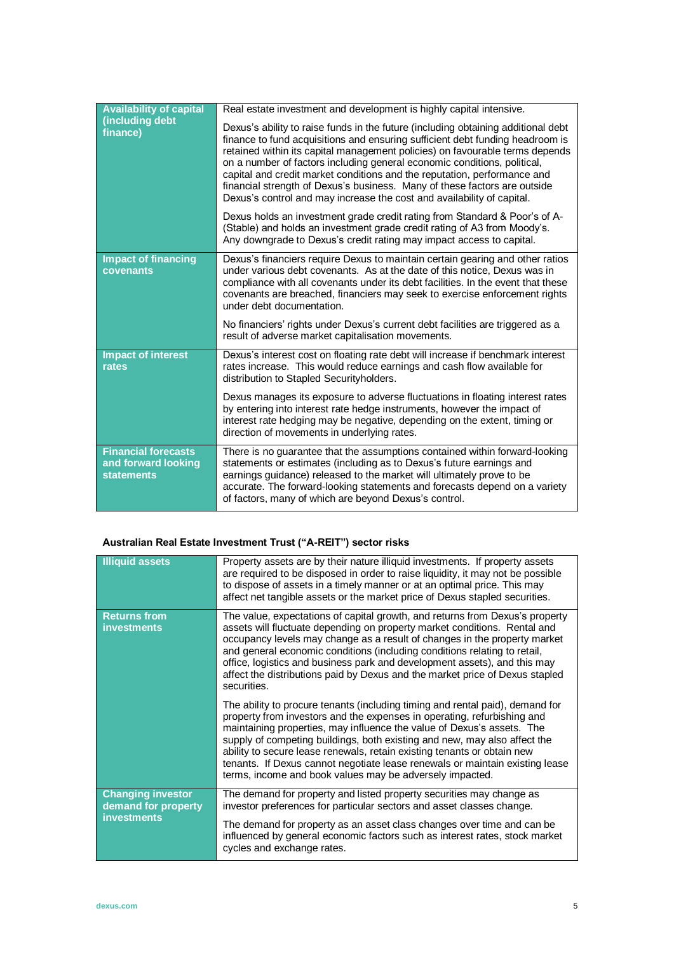| <b>Availability of capital</b><br>(including debt<br>finance)          | Real estate investment and development is highly capital intensive.                                                                                                                                                                                                                                                                                                                                                                                                                                                                                               |
|------------------------------------------------------------------------|-------------------------------------------------------------------------------------------------------------------------------------------------------------------------------------------------------------------------------------------------------------------------------------------------------------------------------------------------------------------------------------------------------------------------------------------------------------------------------------------------------------------------------------------------------------------|
|                                                                        | Dexus's ability to raise funds in the future (including obtaining additional debt<br>finance to fund acquisitions and ensuring sufficient debt funding headroom is<br>retained within its capital management policies) on favourable terms depends<br>on a number of factors including general economic conditions, political,<br>capital and credit market conditions and the reputation, performance and<br>financial strength of Dexus's business. Many of these factors are outside<br>Dexus's control and may increase the cost and availability of capital. |
|                                                                        | Dexus holds an investment grade credit rating from Standard & Poor's of A-<br>(Stable) and holds an investment grade credit rating of A3 from Moody's.<br>Any downgrade to Dexus's credit rating may impact access to capital.                                                                                                                                                                                                                                                                                                                                    |
| <b>Impact of financing</b><br>covenants                                | Dexus's financiers require Dexus to maintain certain gearing and other ratios<br>under various debt covenants. As at the date of this notice, Dexus was in<br>compliance with all covenants under its debt facilities. In the event that these<br>covenants are breached, financiers may seek to exercise enforcement rights<br>under debt documentation.<br>No financiers' rights under Dexus's current debt facilities are triggered as a                                                                                                                       |
|                                                                        | result of adverse market capitalisation movements.                                                                                                                                                                                                                                                                                                                                                                                                                                                                                                                |
| <b>Impact of interest</b><br>rates                                     | Dexus's interest cost on floating rate debt will increase if benchmark interest<br>rates increase. This would reduce earnings and cash flow available for<br>distribution to Stapled Securityholders.                                                                                                                                                                                                                                                                                                                                                             |
|                                                                        | Dexus manages its exposure to adverse fluctuations in floating interest rates<br>by entering into interest rate hedge instruments, however the impact of<br>interest rate hedging may be negative, depending on the extent, timing or<br>direction of movements in underlying rates.                                                                                                                                                                                                                                                                              |
| <b>Financial forecasts</b><br>and forward looking<br><b>statements</b> | There is no guarantee that the assumptions contained within forward-looking<br>statements or estimates (including as to Dexus's future earnings and<br>earnings guidance) released to the market will ultimately prove to be<br>accurate. The forward-looking statements and forecasts depend on a variety<br>of factors, many of which are beyond Dexus's control.                                                                                                                                                                                               |

# **Australian Real Estate Investment Trust ("A-REIT") sector risks**

| <b>Illiquid assets</b>                                                | Property assets are by their nature illiquid investments. If property assets<br>are required to be disposed in order to raise liquidity, it may not be possible<br>to dispose of assets in a timely manner or at an optimal price. This may<br>affect net tangible assets or the market price of Dexus stapled securities.                                                                                                                                                                                                             |
|-----------------------------------------------------------------------|----------------------------------------------------------------------------------------------------------------------------------------------------------------------------------------------------------------------------------------------------------------------------------------------------------------------------------------------------------------------------------------------------------------------------------------------------------------------------------------------------------------------------------------|
| <b>Returns from</b><br><b>investments</b>                             | The value, expectations of capital growth, and returns from Dexus's property<br>assets will fluctuate depending on property market conditions. Rental and<br>occupancy levels may change as a result of changes in the property market<br>and general economic conditions (including conditions relating to retail,<br>office, logistics and business park and development assets), and this may<br>affect the distributions paid by Dexus and the market price of Dexus stapled<br>securities.                                        |
|                                                                       | The ability to procure tenants (including timing and rental paid), demand for<br>property from investors and the expenses in operating, refurbishing and<br>maintaining properties, may influence the value of Dexus's assets. The<br>supply of competing buildings, both existing and new, may also affect the<br>ability to secure lease renewals, retain existing tenants or obtain new<br>tenants. If Dexus cannot negotiate lease renewals or maintain existing lease<br>terms, income and book values may be adversely impacted. |
| <b>Changing investor</b><br>demand for property<br><b>investments</b> | The demand for property and listed property securities may change as<br>investor preferences for particular sectors and asset classes change.<br>The demand for property as an asset class changes over time and can be<br>influenced by general economic factors such as interest rates, stock market<br>cycles and exchange rates.                                                                                                                                                                                                   |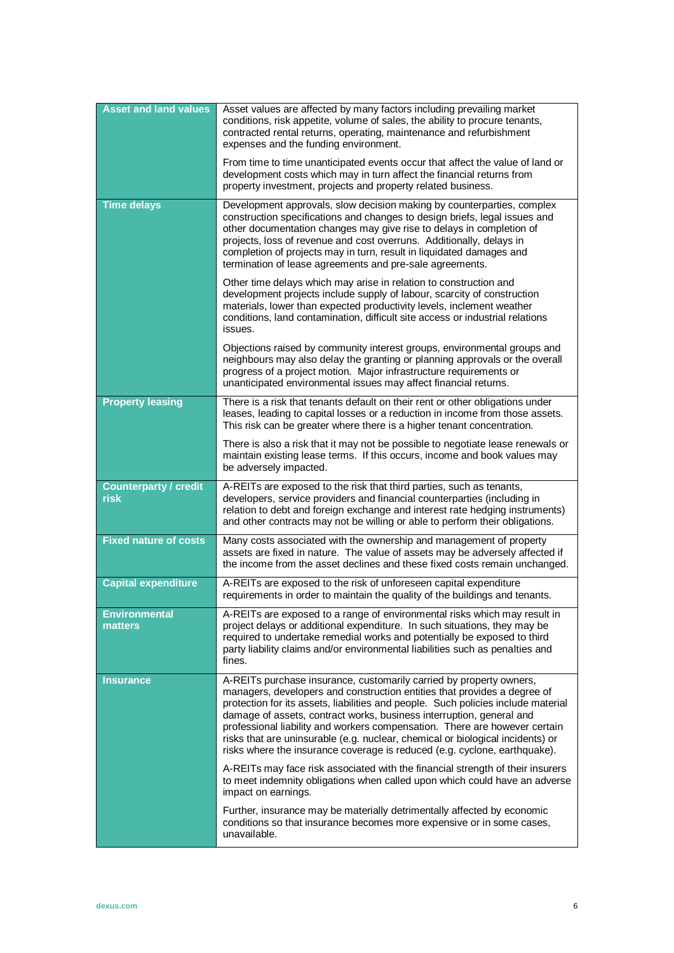| <b>Asset and land values</b>         | Asset values are affected by many factors including prevailing market<br>conditions, risk appetite, volume of sales, the ability to procure tenants,<br>contracted rental returns, operating, maintenance and refurbishment<br>expenses and the funding environment.<br>From time to time unanticipated events occur that affect the value of land or<br>development costs which may in turn affect the financial returns from<br>property investment, projects and property related business.                                                            |
|--------------------------------------|-----------------------------------------------------------------------------------------------------------------------------------------------------------------------------------------------------------------------------------------------------------------------------------------------------------------------------------------------------------------------------------------------------------------------------------------------------------------------------------------------------------------------------------------------------------|
| <b>Time delays</b>                   | Development approvals, slow decision making by counterparties, complex<br>construction specifications and changes to design briefs, legal issues and<br>other documentation changes may give rise to delays in completion of<br>projects, loss of revenue and cost overruns. Additionally, delays in<br>completion of projects may in turn, result in liquidated damages and<br>termination of lease agreements and pre-sale agreements.                                                                                                                  |
|                                      | Other time delays which may arise in relation to construction and<br>development projects include supply of labour, scarcity of construction<br>materials, lower than expected productivity levels, inclement weather<br>conditions, land contamination, difficult site access or industrial relations<br>issues.                                                                                                                                                                                                                                         |
|                                      | Objections raised by community interest groups, environmental groups and<br>neighbours may also delay the granting or planning approvals or the overall<br>progress of a project motion. Major infrastructure requirements or<br>unanticipated environmental issues may affect financial returns.                                                                                                                                                                                                                                                         |
| <b>Property leasing</b>              | There is a risk that tenants default on their rent or other obligations under<br>leases, leading to capital losses or a reduction in income from those assets.<br>This risk can be greater where there is a higher tenant concentration.                                                                                                                                                                                                                                                                                                                  |
|                                      | There is also a risk that it may not be possible to negotiate lease renewals or<br>maintain existing lease terms. If this occurs, income and book values may<br>be adversely impacted.                                                                                                                                                                                                                                                                                                                                                                    |
| <b>Counterparty / credit</b><br>risk | A-REITs are exposed to the risk that third parties, such as tenants,<br>developers, service providers and financial counterparties (including in<br>relation to debt and foreign exchange and interest rate hedging instruments)<br>and other contracts may not be willing or able to perform their obligations.                                                                                                                                                                                                                                          |
| <b>Fixed nature of costs</b>         | Many costs associated with the ownership and management of property<br>assets are fixed in nature. The value of assets may be adversely affected if<br>the income from the asset declines and these fixed costs remain unchanged.                                                                                                                                                                                                                                                                                                                         |
| <b>Capital expenditure</b>           | A-REITs are exposed to the risk of unforeseen capital expenditure<br>requirements in order to maintain the quality of the buildings and tenants.                                                                                                                                                                                                                                                                                                                                                                                                          |
| Environmental<br>matters             | A-REITs are exposed to a range of environmental risks which may result in<br>project delays or additional expenditure. In such situations, they may be<br>required to undertake remedial works and potentially be exposed to third<br>party liability claims and/or environmental liabilities such as penalties and<br>fines.                                                                                                                                                                                                                             |
| <b>Insurance</b>                     | A-REITs purchase insurance, customarily carried by property owners,<br>managers, developers and construction entities that provides a degree of<br>protection for its assets, liabilities and people. Such policies include material<br>damage of assets, contract works, business interruption, general and<br>professional liability and workers compensation. There are however certain<br>risks that are uninsurable (e.g. nuclear, chemical or biological incidents) or<br>risks where the insurance coverage is reduced (e.g. cyclone, earthquake). |
|                                      | A-REITs may face risk associated with the financial strength of their insurers<br>to meet indemnity obligations when called upon which could have an adverse<br>impact on earnings.                                                                                                                                                                                                                                                                                                                                                                       |
|                                      | Further, insurance may be materially detrimentally affected by economic<br>conditions so that insurance becomes more expensive or in some cases,<br>unavailable.                                                                                                                                                                                                                                                                                                                                                                                          |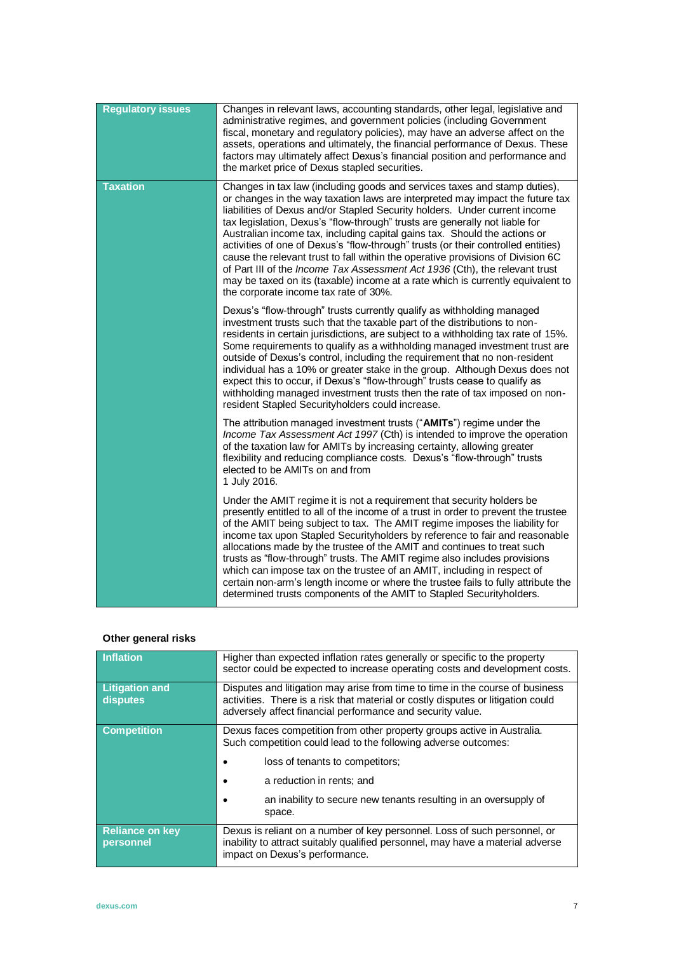| <b>Regulatory issues</b> | Changes in relevant laws, accounting standards, other legal, legislative and<br>administrative regimes, and government policies (including Government<br>fiscal, monetary and regulatory policies), may have an adverse affect on the<br>assets, operations and ultimately, the financial performance of Dexus. These<br>factors may ultimately affect Dexus's financial position and performance and<br>the market price of Dexus stapled securities.                                                                                                                                                                                                                                                                                                                                  |
|--------------------------|-----------------------------------------------------------------------------------------------------------------------------------------------------------------------------------------------------------------------------------------------------------------------------------------------------------------------------------------------------------------------------------------------------------------------------------------------------------------------------------------------------------------------------------------------------------------------------------------------------------------------------------------------------------------------------------------------------------------------------------------------------------------------------------------|
| <b>Taxation</b>          | Changes in tax law (including goods and services taxes and stamp duties),<br>or changes in the way taxation laws are interpreted may impact the future tax<br>liabilities of Dexus and/or Stapled Security holders. Under current income<br>tax legislation, Dexus's "flow-through" trusts are generally not liable for<br>Australian income tax, including capital gains tax. Should the actions or<br>activities of one of Dexus's "flow-through" trusts (or their controlled entities)<br>cause the relevant trust to fall within the operative provisions of Division 6C<br>of Part III of the Income Tax Assessment Act 1936 (Cth), the relevant trust<br>may be taxed on its (taxable) income at a rate which is currently equivalent to<br>the corporate income tax rate of 30%. |
|                          | Dexus's "flow-through" trusts currently qualify as withholding managed<br>investment trusts such that the taxable part of the distributions to non-<br>residents in certain jurisdictions, are subject to a withholding tax rate of 15%.<br>Some requirements to qualify as a withholding managed investment trust are<br>outside of Dexus's control, including the requirement that no non-resident<br>individual has a 10% or greater stake in the group. Although Dexus does not<br>expect this to occur, if Dexus's "flow-through" trusts cease to qualify as<br>withholding managed investment trusts then the rate of tax imposed on non-<br>resident Stapled Securityholders could increase.                                                                                     |
|                          | The attribution managed investment trusts ("AMITs") regime under the<br>Income Tax Assessment Act 1997 (Cth) is intended to improve the operation<br>of the taxation law for AMITs by increasing certainty, allowing greater<br>flexibility and reducing compliance costs. Dexus's "flow-through" trusts<br>elected to be AMITs on and from<br>1 July 2016.                                                                                                                                                                                                                                                                                                                                                                                                                             |
|                          | Under the AMIT regime it is not a requirement that security holders be<br>presently entitled to all of the income of a trust in order to prevent the trustee<br>of the AMIT being subject to tax. The AMIT regime imposes the liability for<br>income tax upon Stapled Securityholders by reference to fair and reasonable<br>allocations made by the trustee of the AMIT and continues to treat such<br>trusts as "flow-through" trusts. The AMIT regime also includes provisions<br>which can impose tax on the trustee of an AMIT, including in respect of<br>certain non-arm's length income or where the trustee fails to fully attribute the<br>determined trusts components of the AMIT to Stapled Securityholders.                                                              |

# **Other general risks**

| <b>Inflation</b>                    | Higher than expected inflation rates generally or specific to the property<br>sector could be expected to increase operating costs and development costs.                                                                       |
|-------------------------------------|---------------------------------------------------------------------------------------------------------------------------------------------------------------------------------------------------------------------------------|
| <b>Litigation and</b><br>disputes   | Disputes and litigation may arise from time to time in the course of business<br>activities. There is a risk that material or costly disputes or litigation could<br>adversely affect financial performance and security value. |
| <b>Competition</b>                  | Dexus faces competition from other property groups active in Australia.<br>Such competition could lead to the following adverse outcomes:                                                                                       |
|                                     | loss of tenants to competitors;                                                                                                                                                                                                 |
|                                     | a reduction in rents; and<br>٠                                                                                                                                                                                                  |
|                                     | an inability to secure new tenants resulting in an oversupply of<br>space.                                                                                                                                                      |
| <b>Reliance on key</b><br>personnel | Dexus is reliant on a number of key personnel. Loss of such personnel, or<br>inability to attract suitably qualified personnel, may have a material adverse<br>impact on Dexus's performance.                                   |